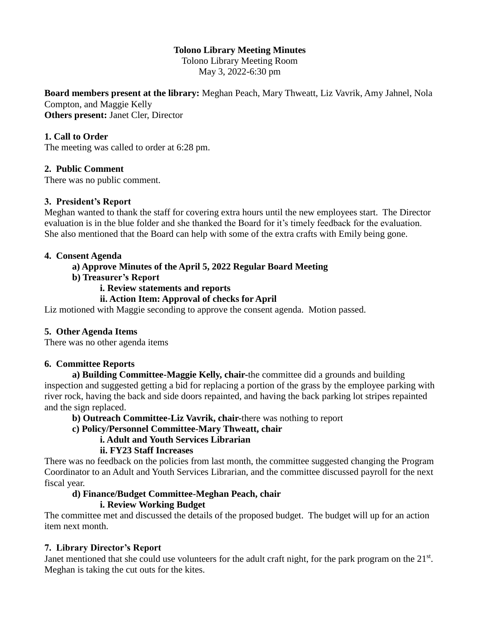# **Tolono Library Meeting Minutes**

Tolono Library Meeting Room May 3, 2022-6:30 pm

**Board members present at the library:** Meghan Peach, Mary Thweatt, Liz Vavrik, Amy Jahnel, Nola Compton, and Maggie Kelly **Others present:** Janet Cler, Director

## **1. Call to Order**

The meeting was called to order at 6:28 pm.

#### **2. Public Comment**

There was no public comment.

#### **3. President's Report**

Meghan wanted to thank the staff for covering extra hours until the new employees start. The Director evaluation is in the blue folder and she thanked the Board for it's timely feedback for the evaluation. She also mentioned that the Board can help with some of the extra crafts with Emily being gone.

#### **4. Consent Agenda**

## **a) Approve Minutes of the April 5, 2022 Regular Board Meeting**

#### **b) Treasurer's Report**

#### **i. Review statements and reports**

## **ii. Action Item: Approval of checks for April**

Liz motioned with Maggie seconding to approve the consent agenda. Motion passed.

#### **5. Other Agenda Items**

There was no other agenda items

#### **6. Committee Reports**

**a) Building Committee-Maggie Kelly, chair-**the committee did a grounds and building inspection and suggested getting a bid for replacing a portion of the grass by the employee parking with river rock, having the back and side doors repainted, and having the back parking lot stripes repainted and the sign replaced.

#### **b) Outreach Committee-Liz Vavrik, chair-**there was nothing to report

### **c) Policy/Personnel Committee-Mary Thweatt, chair**

#### **i. Adult and Youth Services Librarian**

## **ii. FY23 Staff Increases**

There was no feedback on the policies from last month, the committee suggested changing the Program Coordinator to an Adult and Youth Services Librarian, and the committee discussed payroll for the next fiscal year.

# **d) Finance/Budget Committee-Meghan Peach, chair**

### **i. Review Working Budget**

The committee met and discussed the details of the proposed budget. The budget will up for an action item next month.

#### **7. Library Director's Report**

Janet mentioned that she could use volunteers for the adult craft night, for the park program on the  $21<sup>st</sup>$ . Meghan is taking the cut outs for the kites.